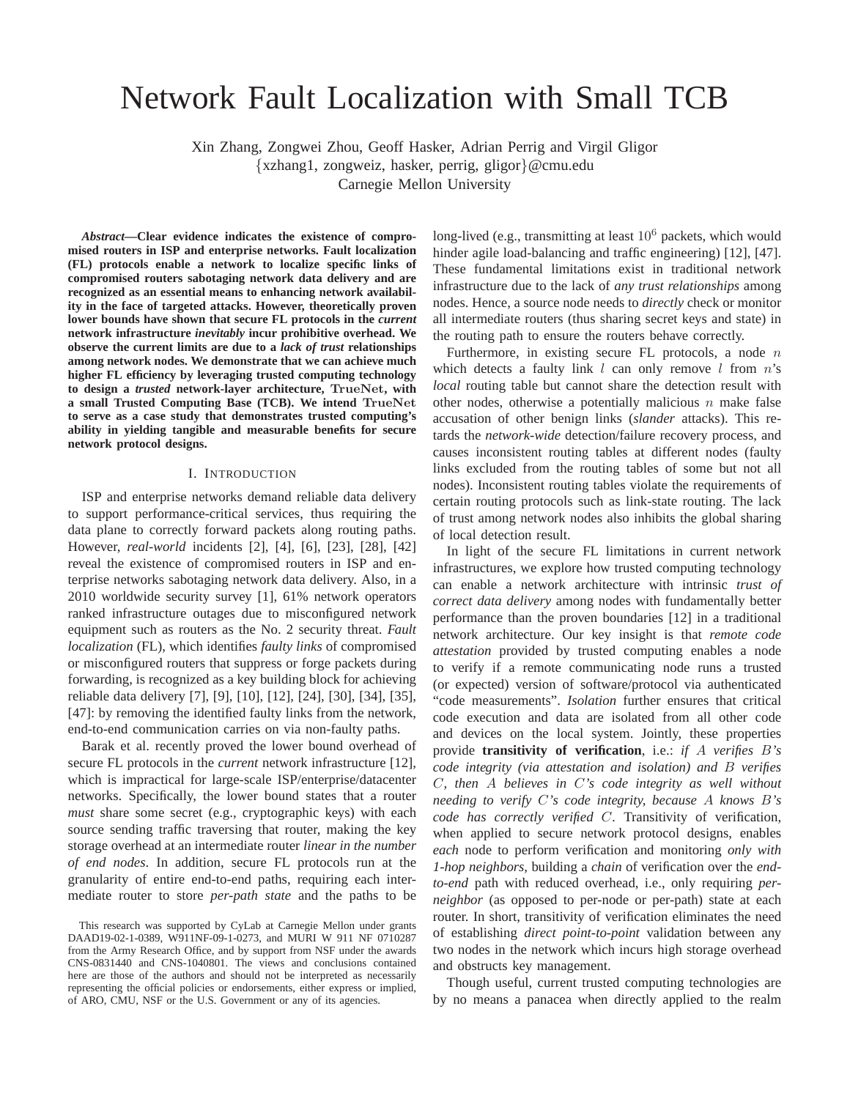# Network Fault Localization with Small TCB

Xin Zhang, Zongwei Zhou, Geoff Hasker, Adrian Perrig and Virgil Gligor {xzhang1, zongweiz, hasker, perrig, gligor}@cmu.edu Carnegie Mellon University

*Abstract***—Clear evidence indicates the existence of compromised routers in ISP and enterprise networks. Fault localization (FL) protocols enable a network to localize specific links of compromised routers sabotaging network data delivery and are recognized as an essential means to enhancing network availability in the face of targeted attacks. However, theoretically proven lower bounds have shown that secure FL protocols in the** *current* **network infrastructure** *inevitably* **incur prohibitive overhead. We observe the current limits are due to a** *lack of trust* **relationships among network nodes. We demonstrate that we can achieve much higher FL efficiency by leveraging trusted computing technology to design a** *trusted* **network-layer architecture,** TrueNet**, with a small Trusted Computing Base (TCB). We intend** TrueNet **to serve as a case study that demonstrates trusted computing's ability in yielding tangible and measurable benefits for secure network protocol designs.**

### I. INTRODUCTION

ISP and enterprise networks demand reliable data delivery to support performance-critical services, thus requiring the data plane to correctly forward packets along routing paths. However, *real-world* incidents [2], [4], [6], [23], [28], [42] reveal the existence of compromised routers in ISP and enterprise networks sabotaging network data delivery. Also, in a 2010 worldwide security survey [1], 61% network operators ranked infrastructure outages due to misconfigured network equipment such as routers as the No. 2 security threat. *Fault localization* (FL), which identifies *faulty links* of compromised or misconfigured routers that suppress or forge packets during forwarding, is recognized as a key building block for achieving reliable data delivery [7], [9], [10], [12], [24], [30], [34], [35], [47]: by removing the identified faulty links from the network, end-to-end communication carries on via non-faulty paths.

Barak et al. recently proved the lower bound overhead of secure FL protocols in the *current* network infrastructure [12], which is impractical for large-scale ISP/enterprise/datacenter networks. Specifically, the lower bound states that a router *must* share some secret (e.g., cryptographic keys) with each source sending traffic traversing that router, making the key storage overhead at an intermediate router *linear in the number of end nodes*. In addition, secure FL protocols run at the granularity of entire end-to-end paths, requiring each intermediate router to store *per-path state* and the paths to be

This research was supported by CyLab at Carnegie Mellon under grants DAAD19-02-1-0389, W911NF-09-1-0273, and MURI W 911 NF 0710287 from the Army Research Office, and by support from NSF under the awards CNS-0831440 and CNS-1040801. The views and conclusions contained here are those of the authors and should not be interpreted as necessarily representing the official policies or endorsements, either express or implied, of ARO, CMU, NSF or the U.S. Government or any of its agencies.

long-lived (e.g., transmitting at least  $10<sup>6</sup>$  packets, which would hinder agile load-balancing and traffic engineering) [12], [47]. These fundamental limitations exist in traditional network infrastructure due to the lack of *any trust relationships* among nodes. Hence, a source node needs to *directly* check or monitor all intermediate routers (thus sharing secret keys and state) in the routing path to ensure the routers behave correctly.

Furthermore, in existing secure FL protocols, a node  $n$ which detects a faulty link  $l$  can only remove  $l$  from  $n$ 's *local* routing table but cannot share the detection result with other nodes, otherwise a potentially malicious  $n$  make false accusation of other benign links (*slander* attacks). This retards the *network-wide* detection/failure recovery process, and causes inconsistent routing tables at different nodes (faulty links excluded from the routing tables of some but not all nodes). Inconsistent routing tables violate the requirements of certain routing protocols such as link-state routing. The lack of trust among network nodes also inhibits the global sharing of local detection result.

In light of the secure FL limitations in current network infrastructures, we explore how trusted computing technology can enable a network architecture with intrinsic *trust of correct data delivery* among nodes with fundamentally better performance than the proven boundaries [12] in a traditional network architecture. Our key insight is that *remote code attestation* provided by trusted computing enables a node to verify if a remote communicating node runs a trusted (or expected) version of software/protocol via authenticated "code measurements". *Isolation* further ensures that critical code execution and data are isolated from all other code and devices on the local system. Jointly, these properties provide **transitivity of verification**, i.e.: *if* A *verifies* B*'s code integrity (via attestation and isolation) and* B *verifies* C*, then* A *believes in* C*'s code integrity as well without needing to verify* C*'s code integrity, because* A *knows* B*'s code has correctly verified* C*.* Transitivity of verification, when applied to secure network protocol designs, enables *each* node to perform verification and monitoring *only with 1-hop neighbors*, building a *chain* of verification over the *endto-end* path with reduced overhead, i.e., only requiring *perneighbor* (as opposed to per-node or per-path) state at each router. In short, transitivity of verification eliminates the need of establishing *direct point-to-point* validation between any two nodes in the network which incurs high storage overhead and obstructs key management.

Though useful, current trusted computing technologies are by no means a panacea when directly applied to the realm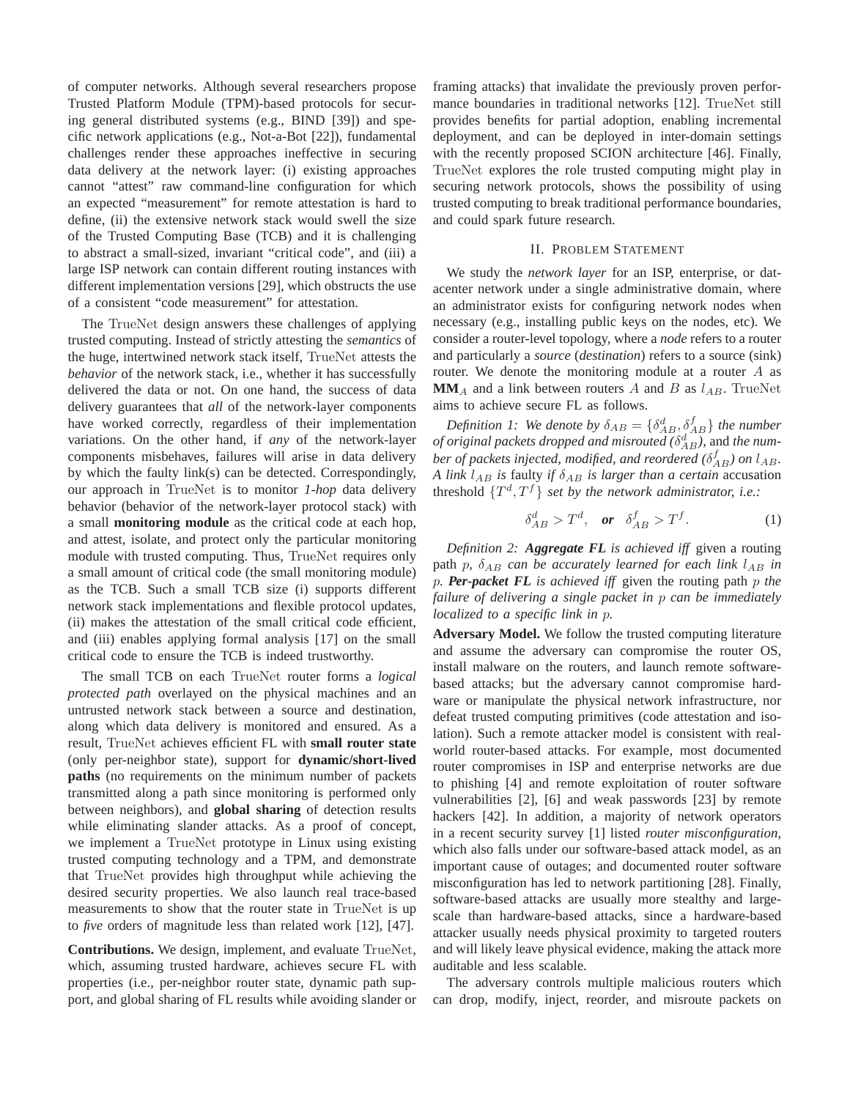of computer networks. Although several researchers propose Trusted Platform Module (TPM)-based protocols for securing general distributed systems (e.g., BIND [39]) and specific network applications (e.g., Not-a-Bot [22]), fundamental challenges render these approaches ineffective in securing data delivery at the network layer: (i) existing approaches cannot "attest" raw command-line configuration for which an expected "measurement" for remote attestation is hard to define, (ii) the extensive network stack would swell the size of the Trusted Computing Base (TCB) and it is challenging to abstract a small-sized, invariant "critical code", and (iii) a large ISP network can contain different routing instances with different implementation versions [29], which obstructs the use of a consistent "code measurement" for attestation.

The TrueNet design answers these challenges of applying trusted computing. Instead of strictly attesting the *semantics* of the huge, intertwined network stack itself, TrueNet attests the *behavior* of the network stack, i.e., whether it has successfully delivered the data or not. On one hand, the success of data delivery guarantees that *all* of the network-layer components have worked correctly, regardless of their implementation variations. On the other hand, if *any* of the network-layer components misbehaves, failures will arise in data delivery by which the faulty link(s) can be detected. Correspondingly, our approach in TrueNet is to monitor *1-hop* data delivery behavior (behavior of the network-layer protocol stack) with a small **monitoring module** as the critical code at each hop, and attest, isolate, and protect only the particular monitoring module with trusted computing. Thus, TrueNet requires only a small amount of critical code (the small monitoring module) as the TCB. Such a small TCB size (i) supports different network stack implementations and flexible protocol updates, (ii) makes the attestation of the small critical code efficient, and (iii) enables applying formal analysis [17] on the small critical code to ensure the TCB is indeed trustworthy.

The small TCB on each TrueNet router forms a *logical protected path* overlayed on the physical machines and an untrusted network stack between a source and destination, along which data delivery is monitored and ensured. As a result, TrueNet achieves efficient FL with **small router state** (only per-neighbor state), support for **dynamic/short-lived paths** (no requirements on the minimum number of packets transmitted along a path since monitoring is performed only between neighbors), and **global sharing** of detection results while eliminating slander attacks. As a proof of concept, we implement a TrueNet prototype in Linux using existing trusted computing technology and a TPM, and demonstrate that TrueNet provides high throughput while achieving the desired security properties. We also launch real trace-based measurements to show that the router state in TrueNet is up to *five* orders of magnitude less than related work [12], [47].

**Contributions.** We design, implement, and evaluate TrueNet, which, assuming trusted hardware, achieves secure FL with properties (i.e., per-neighbor router state, dynamic path support, and global sharing of FL results while avoiding slander or framing attacks) that invalidate the previously proven performance boundaries in traditional networks [12]. TrueNet still provides benefits for partial adoption, enabling incremental deployment, and can be deployed in inter-domain settings with the recently proposed SCION architecture [46]. Finally, TrueNet explores the role trusted computing might play in securing network protocols, shows the possibility of using trusted computing to break traditional performance boundaries, and could spark future research.

#### II. PROBLEM STATEMENT

We study the *network layer* for an ISP, enterprise, or datacenter network under a single administrative domain, where an administrator exists for configuring network nodes when necessary (e.g., installing public keys on the nodes, etc). We consider a router-level topology, where a *node* refers to a router and particularly a *source* (*destination*) refers to a source (sink) router. We denote the monitoring module at a router A as  $MM_A$  and a link between routers A and B as  $l_{AB}$ . TrueNet aims to achieve secure FL as follows.

*Definition 1:* We denote by  $\delta_{AB} = \{\delta_{AB}^d, \delta_{AB}^f\}$  the number *of original packets dropped and misrouted* ( $\delta_{AB}^d$ ), and *the num*ber of packets injected, modified, and reordered ( $\delta_{AB}^f$ ) on  $l_{AB}$ . *A link*  $l_{AB}$  *is* faulty *if*  $\delta_{AB}$  *is larger than a certain* accusation threshold  $\{T^d, T^f\}$  *set by the network administrator, i.e.:* 

$$
\delta_{AB}^d > T^d, \quad \text{or} \quad \delta_{AB}^f > T^f. \tag{1}
$$

*Definition 2: Aggregate FL is achieved iff* given a routing path p,  $\delta_{AB}$  can be accurately learned for each link  $l_{AB}$  in p*. Per-packet FL is achieved iff* given the routing path p *the failure of delivering a single packet in* p *can be immediately localized to a specific link in* p*.*

**Adversary Model.** We follow the trusted computing literature and assume the adversary can compromise the router OS, install malware on the routers, and launch remote softwarebased attacks; but the adversary cannot compromise hardware or manipulate the physical network infrastructure, nor defeat trusted computing primitives (code attestation and isolation). Such a remote attacker model is consistent with realworld router-based attacks. For example, most documented router compromises in ISP and enterprise networks are due to phishing [4] and remote exploitation of router software vulnerabilities [2], [6] and weak passwords [23] by remote hackers [42]. In addition, a majority of network operators in a recent security survey [1] listed *router misconfiguration*, which also falls under our software-based attack model, as an important cause of outages; and documented router software misconfiguration has led to network partitioning [28]. Finally, software-based attacks are usually more stealthy and largescale than hardware-based attacks, since a hardware-based attacker usually needs physical proximity to targeted routers and will likely leave physical evidence, making the attack more auditable and less scalable.

The adversary controls multiple malicious routers which can drop, modify, inject, reorder, and misroute packets on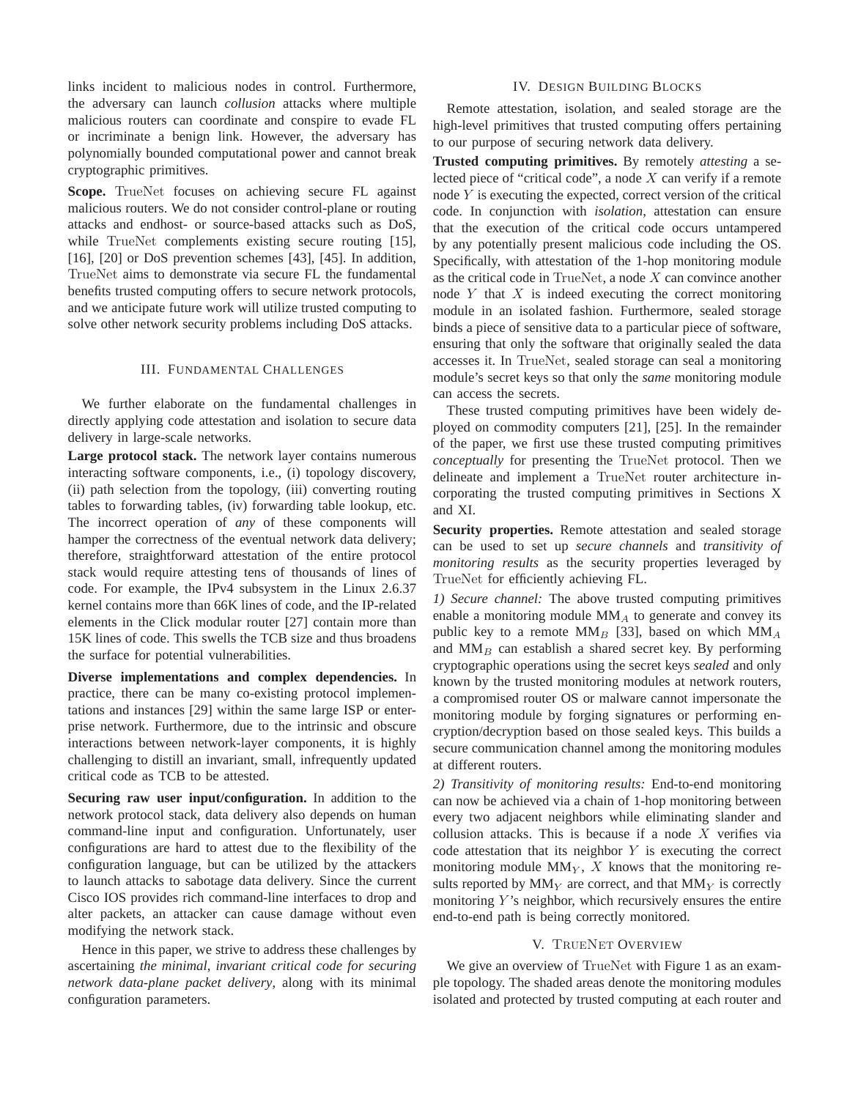links incident to malicious nodes in control. Furthermore, the adversary can launch *collusion* attacks where multiple malicious routers can coordinate and conspire to evade FL or incriminate a benign link. However, the adversary has polynomially bounded computational power and cannot break cryptographic primitives.

**Scope.** TrueNet focuses on achieving secure FL against malicious routers. We do not consider control-plane or routing attacks and endhost- or source-based attacks such as DoS, while TrueNet complements existing secure routing [15], [16], [20] or DoS prevention schemes [43], [45]. In addition, TrueNet aims to demonstrate via secure FL the fundamental benefits trusted computing offers to secure network protocols, and we anticipate future work will utilize trusted computing to solve other network security problems including DoS attacks.

#### III. FUNDAMENTAL CHALLENGES

We further elaborate on the fundamental challenges in directly applying code attestation and isolation to secure data delivery in large-scale networks.

**Large protocol stack.** The network layer contains numerous interacting software components, i.e., (i) topology discovery, (ii) path selection from the topology, (iii) converting routing tables to forwarding tables, (iv) forwarding table lookup, etc. The incorrect operation of *any* of these components will hamper the correctness of the eventual network data delivery; therefore, straightforward attestation of the entire protocol stack would require attesting tens of thousands of lines of code. For example, the IPv4 subsystem in the Linux 2.6.37 kernel contains more than 66K lines of code, and the IP-related elements in the Click modular router [27] contain more than 15K lines of code. This swells the TCB size and thus broadens the surface for potential vulnerabilities.

**Diverse implementations and complex dependencies.** In practice, there can be many co-existing protocol implementations and instances [29] within the same large ISP or enterprise network. Furthermore, due to the intrinsic and obscure interactions between network-layer components, it is highly challenging to distill an invariant, small, infrequently updated critical code as TCB to be attested.

**Securing raw user input/configuration.** In addition to the network protocol stack, data delivery also depends on human command-line input and configuration. Unfortunately, user configurations are hard to attest due to the flexibility of the configuration language, but can be utilized by the attackers to launch attacks to sabotage data delivery. Since the current Cisco IOS provides rich command-line interfaces to drop and alter packets, an attacker can cause damage without even modifying the network stack.

Hence in this paper, we strive to address these challenges by ascertaining *the minimal, invariant critical code for securing network data-plane packet delivery*, along with its minimal configuration parameters.

#### IV. DESIGN BUILDING BLOCKS

Remote attestation, isolation, and sealed storage are the high-level primitives that trusted computing offers pertaining to our purpose of securing network data delivery.

**Trusted computing primitives.** By remotely *attesting* a selected piece of "critical code", a node X can verify if a remote node  $Y$  is executing the expected, correct version of the critical code. In conjunction with *isolation*, attestation can ensure that the execution of the critical code occurs untampered by any potentially present malicious code including the OS. Specifically, with attestation of the 1-hop monitoring module as the critical code in TrueNet, a node  $X$  can convince another node  $Y$  that  $X$  is indeed executing the correct monitoring module in an isolated fashion. Furthermore, sealed storage binds a piece of sensitive data to a particular piece of software, ensuring that only the software that originally sealed the data accesses it. In TrueNet, sealed storage can seal a monitoring module's secret keys so that only the *same* monitoring module can access the secrets.

These trusted computing primitives have been widely deployed on commodity computers [21], [25]. In the remainder of the paper, we first use these trusted computing primitives *conceptually* for presenting the TrueNet protocol. Then we delineate and implement a TrueNet router architecture incorporating the trusted computing primitives in Sections X and XI.

**Security properties.** Remote attestation and sealed storage can be used to set up *secure channels* and *transitivity of monitoring results* as the security properties leveraged by TrueNet for efficiently achieving FL.

*1) Secure channel:* The above trusted computing primitives enable a monitoring module  $MM<sub>A</sub>$  to generate and convey its public key to a remote  $MM_B$  [33], based on which  $MM_A$ and  $MM_B$  can establish a shared secret key. By performing cryptographic operations using the secret keys *sealed* and only known by the trusted monitoring modules at network routers, a compromised router OS or malware cannot impersonate the monitoring module by forging signatures or performing encryption/decryption based on those sealed keys. This builds a secure communication channel among the monitoring modules at different routers.

*2) Transitivity of monitoring results:* End-to-end monitoring can now be achieved via a chain of 1-hop monitoring between every two adjacent neighbors while eliminating slander and collusion attacks. This is because if a node  $X$  verifies via code attestation that its neighbor  $Y$  is executing the correct monitoring module  $MM<sub>Y</sub>$ , X knows that the monitoring results reported by  $MM<sub>Y</sub>$  are correct, and that  $MM<sub>Y</sub>$  is correctly monitoring  $Y$ 's neighbor, which recursively ensures the entire end-to-end path is being correctly monitored.

#### V. TrueNet OVERVIEW

We give an overview of TrueNet with Figure 1 as an example topology. The shaded areas denote the monitoring modules isolated and protected by trusted computing at each router and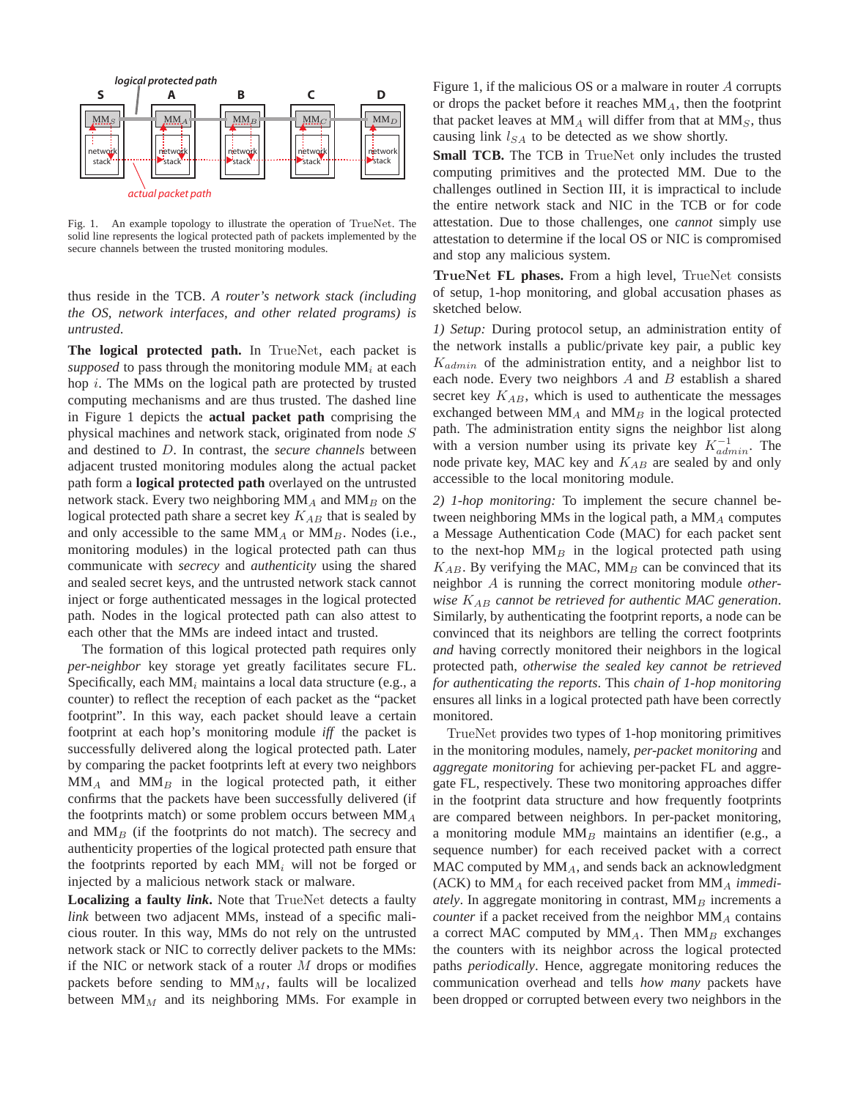

Fig. 1. An example topology to illustrate the operation of TrueNet. The solid line represents the logical protected path of packets implemented by the secure channels between the trusted monitoring modules.

thus reside in the TCB. *A router's network stack (including the OS, network interfaces, and other related programs) is untrusted*.

**The logical protected path.** In TrueNet, each packet is *supposed* to pass through the monitoring module  $MM_i$  at each hop i. The MMs on the logical path are protected by trusted computing mechanisms and are thus trusted. The dashed line in Figure 1 depicts the **actual packet path** comprising the physical machines and network stack, originated from node S and destined to D. In contrast, the *secure channels* between adjacent trusted monitoring modules along the actual packet path form a **logical protected path** overlayed on the untrusted network stack. Every two neighboring  $MM_A$  and  $MM_B$  on the logical protected path share a secret key  $K_{AB}$  that is sealed by and only accessible to the same  $MM_A$  or  $MM_B$ . Nodes (i.e., monitoring modules) in the logical protected path can thus communicate with *secrecy* and *authenticity* using the shared and sealed secret keys, and the untrusted network stack cannot inject or forge authenticated messages in the logical protected path. Nodes in the logical protected path can also attest to each other that the MMs are indeed intact and trusted.

The formation of this logical protected path requires only *per-neighbor* key storage yet greatly facilitates secure FL. Specifically, each  $MM_i$  maintains a local data structure (e.g., a counter) to reflect the reception of each packet as the "packet footprint". In this way, each packet should leave a certain footprint at each hop's monitoring module *iff* the packet is successfully delivered along the logical protected path. Later by comparing the packet footprints left at every two neighbors  $MM_A$  and  $MM_B$  in the logical protected path, it either confirms that the packets have been successfully delivered (if the footprints match) or some problem occurs between  $MM<sub>A</sub>$ and  $MM<sub>B</sub>$  (if the footprints do not match). The secrecy and authenticity properties of the logical protected path ensure that the footprints reported by each  $MM_i$  will not be forged or injected by a malicious network stack or malware.

**Localizing a faulty** *link***.** Note that TrueNet detects a faulty *link* between two adjacent MMs, instead of a specific malicious router. In this way, MMs do not rely on the untrusted network stack or NIC to correctly deliver packets to the MMs: if the NIC or network stack of a router  $M$  drops or modifies packets before sending to  $MM_M$ , faults will be localized between  $MM_M$  and its neighboring MMs. For example in Figure 1, if the malicious OS or a malware in router A corrupts or drops the packet before it reaches  $MM<sub>A</sub>$ , then the footprint that packet leaves at  $MM_A$  will differ from that at  $MM_S$ , thus causing link  $l_{SA}$  to be detected as we show shortly.

**Small TCB.** The TCB in TrueNet only includes the trusted computing primitives and the protected MM. Due to the challenges outlined in Section III, it is impractical to include the entire network stack and NIC in the TCB or for code attestation. Due to those challenges, one *cannot* simply use attestation to determine if the local OS or NIC is compromised and stop any malicious system.

TrueNet **FL phases.** From a high level, TrueNet consists of setup, 1-hop monitoring, and global accusation phases as sketched below.

*1) Setup:* During protocol setup, an administration entity of the network installs a public/private key pair, a public key  $K_{admin}$  of the administration entity, and a neighbor list to each node. Every two neighbors  $A$  and  $B$  establish a shared secret key  $K_{AB}$ , which is used to authenticate the messages exchanged between  $MM_A$  and  $MM_B$  in the logical protected path. The administration entity signs the neighbor list along with a version number using its private key  $K_{admin}^{-1}$ . The node private key, MAC key and  $K_{AB}$  are sealed by and only accessible to the local monitoring module.

*2) 1-hop monitoring:* To implement the secure channel between neighboring MMs in the logical path, a  $MM<sub>A</sub>$  computes a Message Authentication Code (MAC) for each packet sent to the next-hop  $MM_B$  in the logical protected path using  $K_{AB}$ . By verifying the MAC, MM<sub>B</sub> can be convinced that its neighbor A is running the correct monitoring module *otherwise* KAB *cannot be retrieved for authentic MAC generation*. Similarly, by authenticating the footprint reports, a node can be convinced that its neighbors are telling the correct footprints *and* having correctly monitored their neighbors in the logical protected path, *otherwise the sealed key cannot be retrieved for authenticating the reports*. This *chain of 1-hop monitoring* ensures all links in a logical protected path have been correctly monitored.

TrueNet provides two types of 1-hop monitoring primitives in the monitoring modules, namely, *per-packet monitoring* and *aggregate monitoring* for achieving per-packet FL and aggregate FL, respectively. These two monitoring approaches differ in the footprint data structure and how frequently footprints are compared between neighbors. In per-packet monitoring, a monitoring module  $MM_B$  maintains an identifier (e.g., a sequence number) for each received packet with a correct  $MAC$  computed by  $MM<sub>A</sub>$ , and sends back an acknowledgment (ACK) to MM<sup>A</sup> for each received packet from MM<sup>A</sup> *immediately*. In aggregate monitoring in contrast,  $MM_B$  increments a *counter* if a packet received from the neighbor  $MM<sub>A</sub>$  contains a correct MAC computed by  $MM_A$ . Then  $MM_B$  exchanges the counters with its neighbor across the logical protected paths *periodically*. Hence, aggregate monitoring reduces the communication overhead and tells *how many* packets have been dropped or corrupted between every two neighbors in the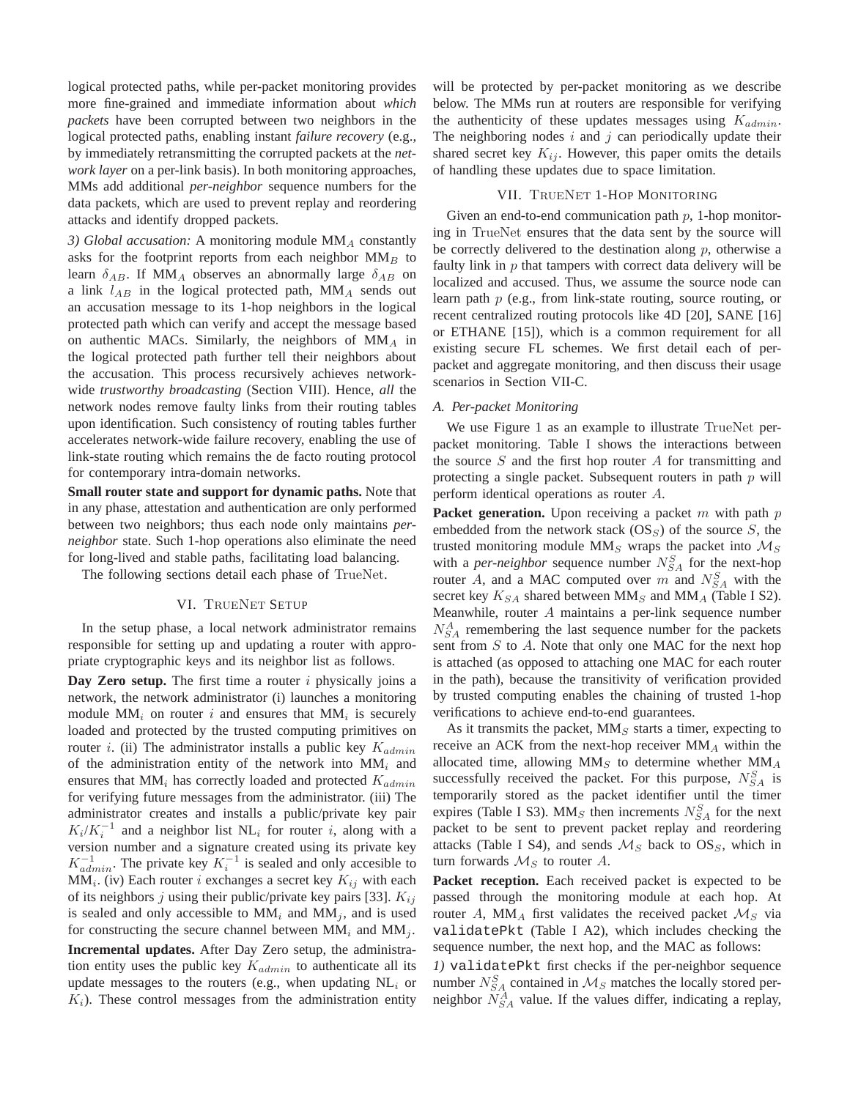logical protected paths, while per-packet monitoring provides more fine-grained and immediate information about *which packets* have been corrupted between two neighbors in the logical protected paths, enabling instant *failure recovery* (e.g., by immediately retransmitting the corrupted packets at the *network layer* on a per-link basis). In both monitoring approaches, MMs add additional *per-neighbor* sequence numbers for the data packets, which are used to prevent replay and reordering attacks and identify dropped packets.

3) Global accusation: A monitoring module MM<sub>A</sub> constantly asks for the footprint reports from each neighbor  $MM_B$  to learn  $\delta_{AB}$ . If MM<sub>A</sub> observes an abnormally large  $\delta_{AB}$  on a link  $l_{AB}$  in the logical protected path, MM<sub>A</sub> sends out an accusation message to its 1-hop neighbors in the logical protected path which can verify and accept the message based on authentic MACs. Similarly, the neighbors of  $MM<sub>A</sub>$  in the logical protected path further tell their neighbors about the accusation. This process recursively achieves networkwide *trustworthy broadcasting* (Section VIII). Hence, *all* the network nodes remove faulty links from their routing tables upon identification. Such consistency of routing tables further accelerates network-wide failure recovery, enabling the use of link-state routing which remains the de facto routing protocol for contemporary intra-domain networks.

**Small router state and support for dynamic paths.** Note that in any phase, attestation and authentication are only performed between two neighbors; thus each node only maintains *perneighbor* state. Such 1-hop operations also eliminate the need for long-lived and stable paths, facilitating load balancing.

The following sections detail each phase of TrueNet.

#### VI. TRUENET SETUP

In the setup phase, a local network administrator remains responsible for setting up and updating a router with appropriate cryptographic keys and its neighbor list as follows.

**Day Zero setup.** The first time a router  $i$  physically joins a network, the network administrator (i) launches a monitoring module  $MM_i$  on router i and ensures that  $MM_i$  is securely loaded and protected by the trusted computing primitives on router *i*. (ii) The administrator installs a public key  $K_{admin}$ of the administration entity of the network into  $MM_i$  and ensures that  $MM_i$  has correctly loaded and protected  $K_{admin}$ for verifying future messages from the administrator. (iii) The administrator creates and installs a public/private key pair  $K_i/K_i^{-1}$  and a neighbor list NL<sub>i</sub> for router i, along with a version number and a signature created using its private key  $K_{admin}^{-1}$ . The private key  $K_i^{-1}$  is sealed and only accesible to  $MM_i$ . (iv) Each router *i* exchanges a secret key  $K_{ij}$  with each of its neighbors j using their public/private key pairs [33].  $K_{ij}$ is sealed and only accessible to  $MM_i$  and  $MM_j$ , and is used for constructing the secure channel between  $MM_i$  and  $MM_j$ .

**Incremental updates.** After Day Zero setup, the administration entity uses the public key  $K_{admin}$  to authenticate all its update messages to the routers (e.g., when updating  $NL_i$  or  $K_i$ ). These control messages from the administration entity will be protected by per-packet monitoring as we describe below. The MMs run at routers are responsible for verifying the authenticity of these updates messages using  $K_{\text{admin}}$ . The neighboring nodes  $i$  and  $j$  can periodically update their shared secret key  $K_{ij}$ . However, this paper omits the details of handling these updates due to space limitation.

#### VII. TRUENET 1-HOP MONITORING

Given an end-to-end communication path  $p$ , 1-hop monitoring in TrueNet ensures that the data sent by the source will be correctly delivered to the destination along  $p$ , otherwise a faulty link in  $p$  that tampers with correct data delivery will be localized and accused. Thus, we assume the source node can learn path p (e.g., from link-state routing, source routing, or recent centralized routing protocols like 4D [20], SANE [16] or ETHANE [15]), which is a common requirement for all existing secure FL schemes. We first detail each of perpacket and aggregate monitoring, and then discuss their usage scenarios in Section VII-C.

#### *A. Per-packet Monitoring*

We use Figure 1 as an example to illustrate TrueNet perpacket monitoring. Table I shows the interactions between the source  $S$  and the first hop router  $A$  for transmitting and protecting a single packet. Subsequent routers in path  $p$  will perform identical operations as router A.

**Packet generation.** Upon receiving a packet m with path  $p$ embedded from the network stack  $(OS<sub>S</sub>)$  of the source S, the trusted monitoring module MM<sub>S</sub> wraps the packet into  $\mathcal{M}_S$ with a *per-neighbor* sequence number  $N_{SA}^{S}$  for the next-hop router A, and a MAC computed over m and  $N_{SA}^S$  with the secret key  $K_{SA}$  shared between MM<sub>S</sub> and MM<sub>A</sub> (Table I S2). Meanwhile, router A maintains a per-link sequence number  $N_{SA}^{A}$  remembering the last sequence number for the packets sent from S to A. Note that only one MAC for the next hop is attached (as opposed to attaching one MAC for each router in the path), because the transitivity of verification provided by trusted computing enables the chaining of trusted 1-hop verifications to achieve end-to-end guarantees.

As it transmits the packet,  $MM<sub>S</sub>$  starts a timer, expecting to receive an ACK from the next-hop receiver  $MM<sub>A</sub>$  within the allocated time, allowing  $MM_S$  to determine whether  $MM_A$ successfully received the packet. For this purpose,  $N_{SA}^{S}$  is temporarily stored as the packet identifier until the timer expires (Table I S3). MM<sub>S</sub> then increments  $N_{SA}^{S}$  for the next packet to be sent to prevent packet replay and reordering attacks (Table I S4), and sends  $\mathcal{M}_S$  back to  $OS_S$ , which in turn forwards  $\mathcal{M}_S$  to router A.

**Packet reception.** Each received packet is expected to be passed through the monitoring module at each hop. At router A, MM<sub>A</sub> first validates the received packet  $\mathcal{M}_S$  via validatePkt (Table I A2), which includes checking the sequence number, the next hop, and the MAC as follows:

*1)* validatePkt first checks if the per-neighbor sequence number  $N_{SA}^S$  contained in  $\mathcal{M}_S$  matches the locally stored perneighbor  $N_{SA}^{A}$  value. If the values differ, indicating a replay,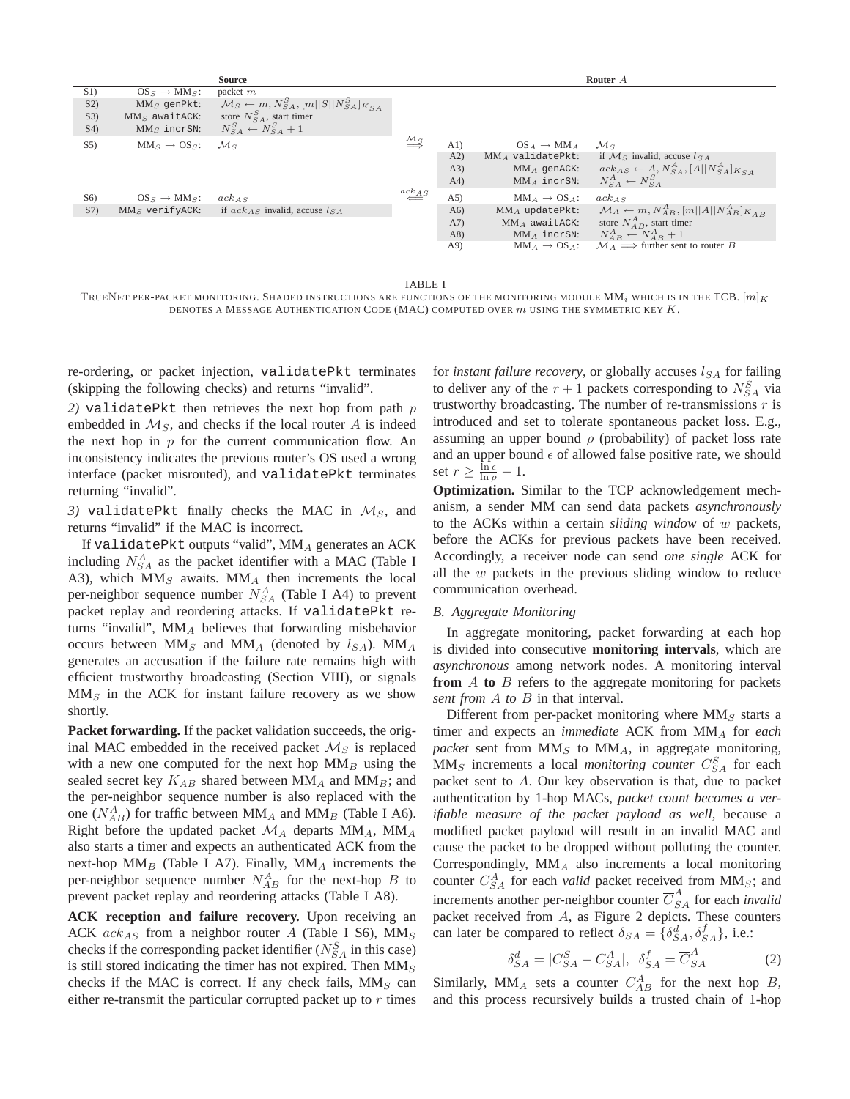| <b>Source</b>  |                               |                                                                   |                                             | Router A |                           |                                                                   |  |
|----------------|-------------------------------|-------------------------------------------------------------------|---------------------------------------------|----------|---------------------------|-------------------------------------------------------------------|--|
| S1)            | $OS_S \rightarrow MM_S$ :     | packet $m$                                                        |                                             |          |                           |                                                                   |  |
| S <sub>2</sub> | $MM_S$ qenPkt:                | $\mathcal{M}_S \leftarrow m, N_{SA}^S, [m  S  N_{SA}^S]_{K_{SA}}$ |                                             |          |                           |                                                                   |  |
| S3)            | $MM_S$ awaitACK:              | store $N_{S_A}^S$ , start timer                                   |                                             |          |                           |                                                                   |  |
| S <sub>4</sub> | $MM_S$ incrSN:                | $N_{SA}^S \leftarrow N_{SA}^S + 1$                                |                                             |          |                           |                                                                   |  |
| S5)            | $MM_S \rightarrow OS_S$ :     | $\mathcal{M}_S$                                                   | $\stackrel{M_S}{\Longrightarrow}$           | A1)      | $OS_A \rightarrow MM_A$   | $\mathcal{M}_S$                                                   |  |
|                |                               |                                                                   |                                             | A2)      | $MM_A$ validatePkt:       | if $\mathcal{M}_S$ invalid, accuse $l_{SA}$                       |  |
|                |                               |                                                                   |                                             | (A3)     | $MM_A$ genACK:            | $ack_{AS} \leftarrow A, N_{SA}^A, [A  N_{SA}^A]_{KSA}$            |  |
|                |                               |                                                                   |                                             | A4)      | $MM_A$ incrSN:            | $N_{SA}^A \leftarrow N_{SA}^S$                                    |  |
| S <sub>6</sub> | $OS_{S} \rightarrow MM_{S}$ : | $ack_{AS}$                                                        | $\stackrel{ack}{\underleftarrow{\;\;}A}{S}$ | (A5)     | $MM_A \rightarrow OS_A$ : | $ack_{AS}$                                                        |  |
| S <sub>7</sub> | $MM_S$ verify ACK:            | if $ack_{AS}$ invalid, accuse $l_{SA}$                            |                                             | A6)      | $MM_A$ updatePkt:         | $\mathcal{M}_A \leftarrow m, N_{AB}^A, [m  A  N_{AB}^A]_{K_{AB}}$ |  |
|                |                               |                                                                   |                                             | (A7)     | $MM_A$ awaitACK:          | store $N_{AB}^A$ , start timer                                    |  |
|                |                               |                                                                   |                                             | A8)      | $MM_A$ incrSN:            | $N_{AB}^A \leftarrow N_{AB}^A + 1$                                |  |
|                |                               |                                                                   |                                             | A9)      | $MM_A \rightarrow OS_A$ : | $\mathcal{M}_A \implies$ further sent to router B                 |  |
|                |                               |                                                                   |                                             |          |                           |                                                                   |  |

TABLE I

TRUENET PER-PACKET MONITORING. SHADED INSTRUCTIONS ARE FUNCTIONS OF THE MONITORING MODULE MM<sub>i</sub> WHICH IS IN THE TCB.  $[m]_K$ DENOTES A MESSAGE AUTHENTICATION CODE (MAC) COMPUTED OVER  $m$  using the symmetric Key  $K$ .

re-ordering, or packet injection, validatePkt terminates (skipping the following checks) and returns "invalid".

*2)* validatePkt then retrieves the next hop from path p embedded in  $\mathcal{M}_S$ , and checks if the local router A is indeed the next hop in  $p$  for the current communication flow. An inconsistency indicates the previous router's OS used a wrong interface (packet misrouted), and validatePkt terminates returning "invalid".

*3)* validatePkt finally checks the MAC in  $\mathcal{M}_S$ , and returns "invalid" if the MAC is incorrect.

If validatePkt outputs "valid",  $MM_A$  generates an ACK including  $N_{SA}^A$  as the packet identifier with a MAC (Table I A3), which  $MM_S$  awaits.  $MM_A$  then increments the local per-neighbor sequence number  $N_{SA}^{A}$  (Table I A4) to prevent packet replay and reordering attacks. If validatePkt returns "invalid",  $MM_A$  believes that forwarding misbehavior occurs between  $MM_S$  and  $MM_A$  (denoted by  $l_{SA}$ ).  $MM_A$ generates an accusation if the failure rate remains high with efficient trustworthy broadcasting (Section VIII), or signals  $MM<sub>S</sub>$  in the ACK for instant failure recovery as we show shortly.

**Packet forwarding.** If the packet validation succeeds, the original MAC embedded in the received packet  $\mathcal{M}_S$  is replaced with a new one computed for the next hop  $MM_B$  using the sealed secret key  $K_{AB}$  shared between  $MM_A$  and  $MM_B$ ; and the per-neighbor sequence number is also replaced with the one  $(N_{AB}^A)$  for traffic between  $MM_A$  and  $MM_B$  (Table I A6). Right before the updated packet  $\mathcal{M}_A$  departs  $MM_A$ ,  $MM_A$ also starts a timer and expects an authenticated ACK from the next-hop  $MM_B$  (Table I A7). Finally,  $MM_A$  increments the per-neighbor sequence number  $N_{AB}^A$  for the next-hop  $B$  to prevent packet replay and reordering attacks (Table I A8).

**ACK reception and failure recovery.** Upon receiving an ACK  $ack_{AS}$  from a neighbor router A (Table I S6), MM<sub>S</sub> checks if the corresponding packet identifier ( $N_{SA}^{S}$  in this case) is still stored indicating the timer has not expired. Then  $MM<sub>S</sub>$ checks if the MAC is correct. If any check fails,  $MM<sub>S</sub>$  can either re-transmit the particular corrupted packet up to  $r$  times

for *instant failure recovery*, or globally accuses  $l_{SA}$  for failing to deliver any of the  $r + 1$  packets corresponding to  $N_{SA}^S$  via trustworthy broadcasting. The number of re-transmissions  $r$  is introduced and set to tolerate spontaneous packet loss. E.g., assuming an upper bound  $\rho$  (probability) of packet loss rate and an upper bound  $\epsilon$  of allowed false positive rate, we should set  $r \geq \frac{\ln \epsilon}{\ln \rho} - 1$ .

**Optimization.** Similar to the TCP acknowledgement mechanism, a sender MM can send data packets *asynchronously* to the ACKs within a certain *sliding window* of w packets, before the ACKs for previous packets have been received. Accordingly, a receiver node can send *one single* ACK for all the  $w$  packets in the previous sliding window to reduce communication overhead.

### *B. Aggregate Monitoring*

In aggregate monitoring, packet forwarding at each hop is divided into consecutive **monitoring intervals**, which are *asynchronous* among network nodes. A monitoring interval **from** A **to** B refers to the aggregate monitoring for packets *sent from* A *to* B in that interval.

Different from per-packet monitoring where  $MM<sub>S</sub>$  starts a timer and expects an *immediate* ACK from MM<sup>A</sup> for *each*  $packet$  sent from  $MM_S$  to  $MM_A$ , in aggregate monitoring,  $MM_S$  increments a local *monitoring counter*  $C_{SA}^S$  for each packet sent to A. Our key observation is that, due to packet authentication by 1-hop MACs, *packet count becomes a verifiable measure of the packet payload as well*, because a modified packet payload will result in an invalid MAC and cause the packet to be dropped without polluting the counter. Correspondingly,  $MM_A$  also increments a local monitoring counter  $C_{SA}^{A}$  for each *valid* packet received from MM<sub>S</sub>; and increments another per-neighbor counter  $\overline{C}_{SA}^{A}$  for each *invalid* packet received from  $A$ , as Figure 2 depicts. These counters can later be compared to reflect  $\delta_{SA} = \{ \delta_{SA}^d, \delta_{SA}^f \}$ , i.e.:

$$
\delta_{SA}^d = |C_{SA}^S - C_{SA}^A|, \ \ \delta_{SA}^f = \overline{C}_{SA}^A \tag{2}
$$

Similarly, MM<sub>A</sub> sets a counter  $C_{AB}^A$  for the next hop B, and this process recursively builds a trusted chain of 1-hop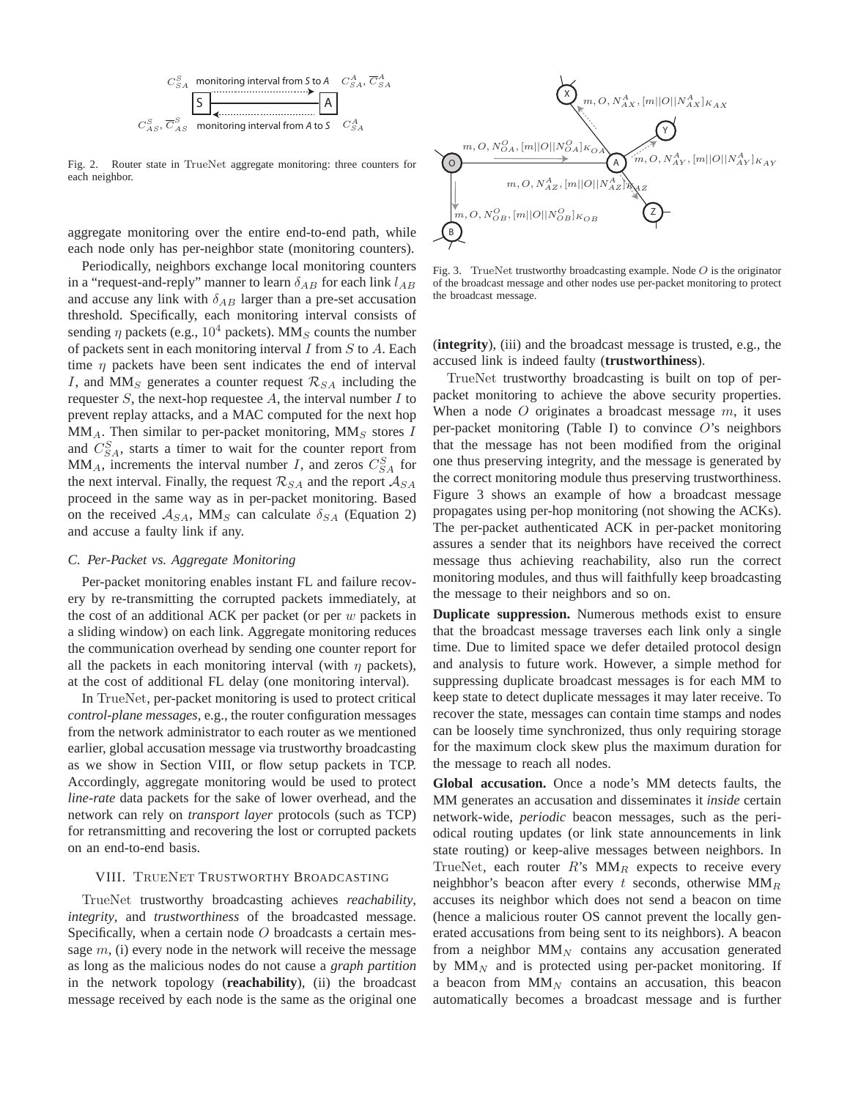

Fig. 2. Router state in TrueNet aggregate monitoring: three counters for each neighbor.

aggregate monitoring over the entire end-to-end path, while each node only has per-neighbor state (monitoring counters).

Periodically, neighbors exchange local monitoring counters in a "request-and-reply" manner to learn  $\delta_{AB}$  for each link  $l_{AB}$ and accuse any link with  $\delta_{AB}$  larger than a pre-set accusation threshold. Specifically, each monitoring interval consists of sending  $\eta$  packets (e.g.,  $10^4$  packets). MM<sub>S</sub> counts the number of packets sent in each monitoring interval  $I$  from  $S$  to  $A$ . Each time  $\eta$  packets have been sent indicates the end of interval I, and MM<sub>S</sub> generates a counter request  $\mathcal{R}_{SA}$  including the requester S, the next-hop requestee A, the interval number  $I$  to prevent replay attacks, and a MAC computed for the next hop  $MM_A$ . Then similar to per-packet monitoring, MM<sub>S</sub> stores I and  $C_{SA}^{S}$ , starts a timer to wait for the counter report from  $MM_A$ , increments the interval number I, and zeros  $C_{SA}^S$  for the next interval. Finally, the request  $\mathcal{R}_{SA}$  and the report  $\mathcal{A}_{SA}$ proceed in the same way as in per-packet monitoring. Based on the received  $A_{SA}$ , MM<sub>S</sub> can calculate  $\delta_{SA}$  (Equation 2) and accuse a faulty link if any.

#### *C. Per-Packet vs. Aggregate Monitoring*

Per-packet monitoring enables instant FL and failure recovery by re-transmitting the corrupted packets immediately, at the cost of an additional ACK per packet (or per  $w$  packets in a sliding window) on each link. Aggregate monitoring reduces the communication overhead by sending one counter report for all the packets in each monitoring interval (with  $\eta$  packets), at the cost of additional FL delay (one monitoring interval).

In TrueNet, per-packet monitoring is used to protect critical *control-plane messages*, e.g., the router configuration messages from the network administrator to each router as we mentioned earlier, global accusation message via trustworthy broadcasting as we show in Section VIII, or flow setup packets in TCP. Accordingly, aggregate monitoring would be used to protect *line-rate* data packets for the sake of lower overhead, and the network can rely on *transport layer* protocols (such as TCP) for retransmitting and recovering the lost or corrupted packets on an end-to-end basis.

## VIII. TrueNet TRUSTWORTHY BROADCASTING

TrueNet trustworthy broadcasting achieves *reachability*, *integrity*, and *trustworthiness* of the broadcasted message. Specifically, when a certain node  $O$  broadcasts a certain message  $m$ , (i) every node in the network will receive the message as long as the malicious nodes do not cause a *graph partition* in the network topology (**reachability**), (ii) the broadcast message received by each node is the same as the original one



Fig. 3. TrueNet trustworthy broadcasting example. Node  $O$  is the originator of the broadcast message and other nodes use per-packet monitoring to protect the broadcast message.

(**integrity**), (iii) and the broadcast message is trusted, e.g., the accused link is indeed faulty (**trustworthiness**).

TrueNet trustworthy broadcasting is built on top of perpacket monitoring to achieve the above security properties. When a node  $O$  originates a broadcast message  $m$ , it uses per-packet monitoring (Table I) to convince  $O$ 's neighbors that the message has not been modified from the original one thus preserving integrity, and the message is generated by the correct monitoring module thus preserving trustworthiness. Figure 3 shows an example of how a broadcast message propagates using per-hop monitoring (not showing the ACKs). The per-packet authenticated ACK in per-packet monitoring assures a sender that its neighbors have received the correct message thus achieving reachability, also run the correct monitoring modules, and thus will faithfully keep broadcasting the message to their neighbors and so on.

**Duplicate suppression.** Numerous methods exist to ensure that the broadcast message traverses each link only a single time. Due to limited space we defer detailed protocol design and analysis to future work. However, a simple method for suppressing duplicate broadcast messages is for each MM to keep state to detect duplicate messages it may later receive. To recover the state, messages can contain time stamps and nodes can be loosely time synchronized, thus only requiring storage for the maximum clock skew plus the maximum duration for the message to reach all nodes.

**Global accusation.** Once a node's MM detects faults, the MM generates an accusation and disseminates it *inside* certain network-wide, *periodic* beacon messages, such as the periodical routing updates (or link state announcements in link state routing) or keep-alive messages between neighbors. In TrueNet, each router  $R$ 's MM<sub>R</sub> expects to receive every neighbhor's beacon after every  $t$  seconds, otherwise  $MM_R$ accuses its neighbor which does not send a beacon on time (hence a malicious router OS cannot prevent the locally generated accusations from being sent to its neighbors). A beacon from a neighbor  $MM_N$  contains any accusation generated by  $MM_N$  and is protected using per-packet monitoring. If a beacon from  $MM_N$  contains an accusation, this beacon automatically becomes a broadcast message and is further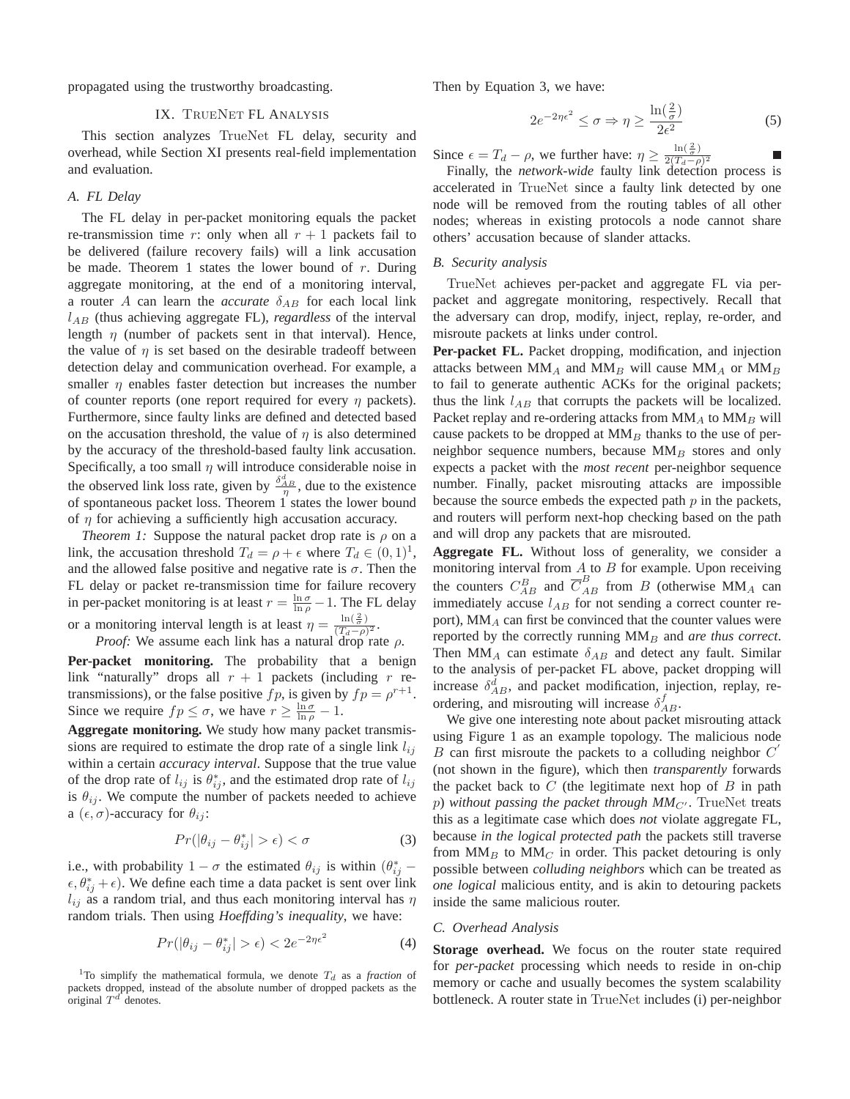propagated using the trustworthy broadcasting.

### IX. TRUENET FL ANALYSIS

This section analyzes TrueNet FL delay, security and overhead, while Section XI presents real-field implementation and evaluation.

# *A. FL Delay*

The FL delay in per-packet monitoring equals the packet re-transmission time r: only when all  $r + 1$  packets fail to be delivered (failure recovery fails) will a link accusation be made. Theorem 1 states the lower bound of  $r$ . During aggregate monitoring, at the end of a monitoring interval, a router A can learn the *accurate*  $\delta_{AB}$  for each local link  $l_{AB}$  (thus achieving aggregate FL), *regardless* of the interval length  $\eta$  (number of packets sent in that interval). Hence, the value of  $\eta$  is set based on the desirable tradeoff between detection delay and communication overhead. For example, a smaller  $\eta$  enables faster detection but increases the number of counter reports (one report required for every  $\eta$  packets). Furthermore, since faulty links are defined and detected based on the accusation threshold, the value of  $\eta$  is also determined by the accuracy of the threshold-based faulty link accusation. Specifically, a too small  $\eta$  will introduce considerable noise in the observed link loss rate, given by  $\frac{\delta_{AB}^d}{\eta}$ , due to the existence of spontaneous packet loss. Theorem  $1$ <sup>'</sup> states the lower bound of  $\eta$  for achieving a sufficiently high accusation accuracy.

*Theorem 1:* Suppose the natural packet drop rate is  $\rho$  on a link, the accusation threshold  $T_d = \rho + \epsilon$  where  $T_d \in (0,1)^1$ , and the allowed false positive and negative rate is  $\sigma$ . Then the FL delay or packet re-transmission time for failure recovery in per-packet monitoring is at least  $r = \frac{\ln \sigma}{\ln \rho} - 1$ . The FL delay or a monitoring interval length is at least  $\eta = \frac{\ln(\frac{2}{\sigma})}{(T-\sigma)}$  $\frac{\ln(\frac{\pi}{\sigma})}{(T_d-\rho)^2}$ .

*Proof:* We assume each link has a natural drop rate  $\rho$ .

**Per-packet monitoring.** The probability that a benign link "naturally" drops all  $r + 1$  packets (including r retransmissions), or the false positive  $fp$ , is given by  $fp = \rho^{r+1}$ . Since we require  $fp \leq \sigma$ , we have  $r \geq \frac{\ln \sigma}{\ln \rho} - 1$ .

**Aggregate monitoring.** We study how many packet transmissions are required to estimate the drop rate of a single link  $l_{ij}$ within a certain *accuracy interval*. Suppose that the true value of the drop rate of  $l_{ij}$  is  $\theta^*_{ij}$ , and the estimated drop rate of  $l_{ij}$ is  $\theta_{ij}$ . We compute the number of packets needed to achieve a  $(\epsilon, \sigma)$ -accuracy for  $\theta_{ij}$ :

$$
Pr(|\theta_{ij} - \theta_{ij}^*| > \epsilon) < \sigma \tag{3}
$$

i.e., with probability  $1 - \sigma$  the estimated  $\theta_{ij}$  is within  $(\theta_{ij}^* \epsilon, \theta_{ij}^* + \epsilon$ ). We define each time a data packet is sent over link  $l_{ij}$  as a random trial, and thus each monitoring interval has  $\eta$ random trials. Then using *Hoeffding's inequality*, we have:

$$
Pr(|\theta_{ij} - \theta_{ij}^*| > \epsilon) < 2e^{-2\eta\epsilon^2}
$$
 (4)

<sup>1</sup>To simplify the mathematical formula, we denote  $T_d$  as a *fraction* of packets dropped, instead of the absolute number of dropped packets as the original  $T<sup>d</sup>$  denotes.

Then by Equation 3, we have:

$$
2e^{-2\eta\epsilon^2} \le \sigma \Rightarrow \eta \ge \frac{\ln(\frac{2}{\sigma})}{2\epsilon^2} \tag{5}
$$

Since  $\epsilon = T_d - \rho$ , we further have:  $\eta \ge \frac{\ln(\frac{2}{\sigma})}{2(T_d - \rho)}$  $\frac{1}{2(T_d-\rho)^2}$ 

Finally, the *network-wide* faulty link detection process is accelerated in TrueNet since a faulty link detected by one node will be removed from the routing tables of all other nodes; whereas in existing protocols a node cannot share others' accusation because of slander attacks.

#### *B. Security analysis*

TrueNet achieves per-packet and aggregate FL via perpacket and aggregate monitoring, respectively. Recall that the adversary can drop, modify, inject, replay, re-order, and misroute packets at links under control.

Per-packet FL. Packet dropping, modification, and injection attacks between  $MM_A$  and  $MM_B$  will cause  $MM_A$  or  $MM_B$ to fail to generate authentic ACKs for the original packets; thus the link  $l_{AB}$  that corrupts the packets will be localized. Packet replay and re-ordering attacks from  $MM<sub>A</sub>$  to  $MM<sub>B</sub>$  will cause packets to be dropped at  $MM<sub>B</sub>$  thanks to the use of perneighbor sequence numbers, because  $MM_B$  stores and only expects a packet with the *most recent* per-neighbor sequence number. Finally, packet misrouting attacks are impossible because the source embeds the expected path  $p$  in the packets, and routers will perform next-hop checking based on the path and will drop any packets that are misrouted.

**Aggregate FL.** Without loss of generality, we consider a monitoring interval from  $A$  to  $B$  for example. Upon receiving the counters  $C_{AB}^B$  and  $\overline{C}_{AB}^B$  from B (otherwise MM<sub>A</sub> can immediately accuse  $l_{AB}$  for not sending a correct counter report),  $MM_A$  can first be convinced that the counter values were reported by the correctly running MM<sub>B</sub> and *are thus correct*. Then  $MM_A$  can estimate  $\delta_{AB}$  and detect any fault. Similar to the analysis of per-packet FL above, packet dropping will increase  $\delta_{AB}^d$ , and packet modification, injection, replay, reordering, and misrouting will increase  $\delta_{AB}^f$ .

We give one interesting note about packet misrouting attack using Figure 1 as an example topology. The malicious node  $B$  can first misroute the packets to a colluding neighbor  $C$ ′ (not shown in the figure), which then *transparently* forwards the packet back to  $C$  (the legitimate next hop of  $B$  in path p) without passing the packet through  $MM_{C'}$ . TrueNet treats this as a legitimate case which does *not* violate aggregate FL, because *in the logical protected path* the packets still traverse from  $MM_B$  to  $MM_C$  in order. This packet detouring is only possible between *colluding neighbors* which can be treated as *one logical* malicious entity, and is akin to detouring packets inside the same malicious router.

#### *C. Overhead Analysis*

**Storage overhead.** We focus on the router state required for *per-packet* processing which needs to reside in on-chip memory or cache and usually becomes the system scalability bottleneck. A router state in TrueNet includes (i) per-neighbor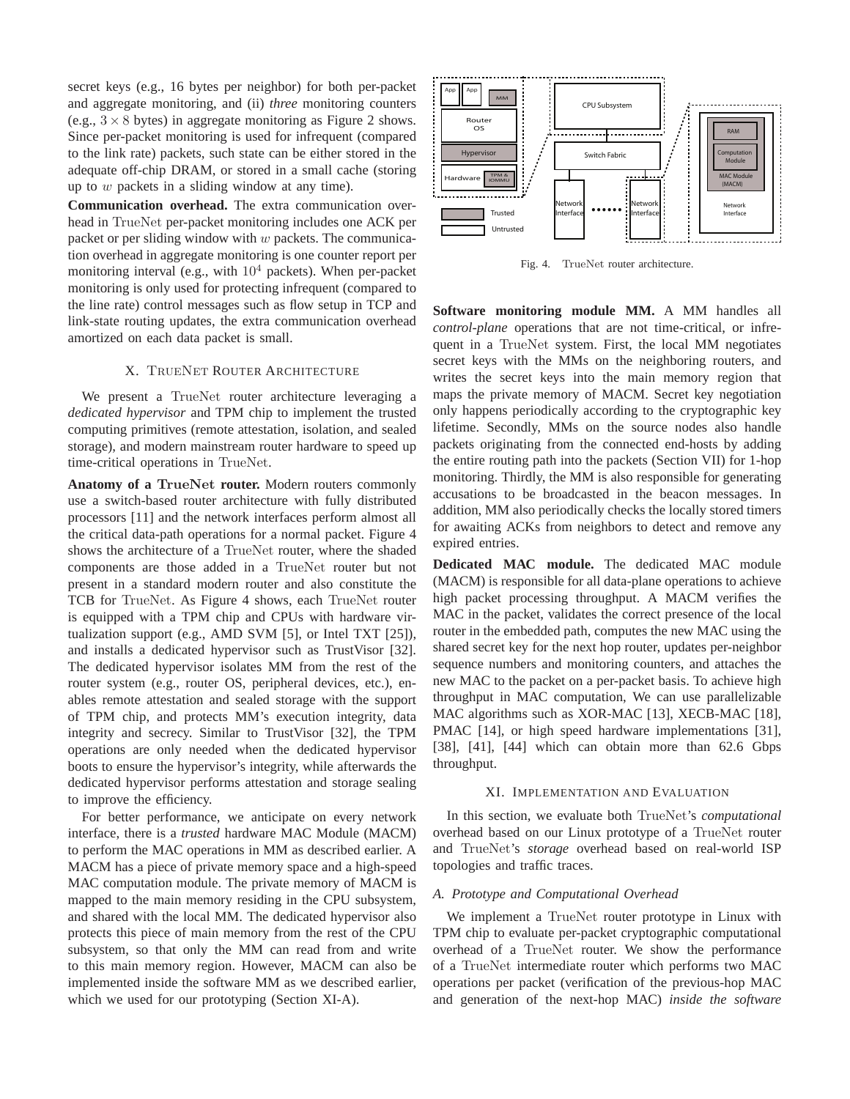secret keys (e.g., 16 bytes per neighbor) for both per-packet and aggregate monitoring, and (ii) *three* monitoring counters (e.g.,  $3 \times 8$  bytes) in aggregate monitoring as Figure 2 shows. Since per-packet monitoring is used for infrequent (compared to the link rate) packets, such state can be either stored in the adequate off-chip DRAM, or stored in a small cache (storing up to  $w$  packets in a sliding window at any time).

**Communication overhead.** The extra communication overhead in TrueNet per-packet monitoring includes one ACK per packet or per sliding window with  $w$  packets. The communication overhead in aggregate monitoring is one counter report per monitoring interval (e.g., with  $10<sup>4</sup>$  packets). When per-packet monitoring is only used for protecting infrequent (compared to the line rate) control messages such as flow setup in TCP and link-state routing updates, the extra communication overhead amortized on each data packet is small.

# X. TrueNet ROUTER ARCHITECTURE

We present a TrueNet router architecture leveraging a *dedicated hypervisor* and TPM chip to implement the trusted computing primitives (remote attestation, isolation, and sealed storage), and modern mainstream router hardware to speed up time-critical operations in TrueNet.

**Anatomy of a** TrueNet **router.** Modern routers commonly use a switch-based router architecture with fully distributed processors [11] and the network interfaces perform almost all the critical data-path operations for a normal packet. Figure 4 shows the architecture of a TrueNet router, where the shaded components are those added in a TrueNet router but not present in a standard modern router and also constitute the TCB for TrueNet. As Figure 4 shows, each TrueNet router is equipped with a TPM chip and CPUs with hardware virtualization support (e.g., AMD SVM [5], or Intel TXT [25]), and installs a dedicated hypervisor such as TrustVisor [32]. The dedicated hypervisor isolates MM from the rest of the router system (e.g., router OS, peripheral devices, etc.), enables remote attestation and sealed storage with the support of TPM chip, and protects MM's execution integrity, data integrity and secrecy. Similar to TrustVisor [32], the TPM operations are only needed when the dedicated hypervisor boots to ensure the hypervisor's integrity, while afterwards the dedicated hypervisor performs attestation and storage sealing to improve the efficiency.

For better performance, we anticipate on every network interface, there is a *trusted* hardware MAC Module (MACM) to perform the MAC operations in MM as described earlier. A MACM has a piece of private memory space and a high-speed MAC computation module. The private memory of MACM is mapped to the main memory residing in the CPU subsystem, and shared with the local MM. The dedicated hypervisor also protects this piece of main memory from the rest of the CPU subsystem, so that only the MM can read from and write to this main memory region. However, MACM can also be implemented inside the software MM as we described earlier, which we used for our prototyping (Section XI-A).



Fig. 4. TrueNet router architecture.

**Software monitoring module MM.** A MM handles all *control-plane* operations that are not time-critical, or infrequent in a TrueNet system. First, the local MM negotiates secret keys with the MMs on the neighboring routers, and writes the secret keys into the main memory region that maps the private memory of MACM. Secret key negotiation only happens periodically according to the cryptographic key lifetime. Secondly, MMs on the source nodes also handle packets originating from the connected end-hosts by adding the entire routing path into the packets (Section VII) for 1-hop monitoring. Thirdly, the MM is also responsible for generating accusations to be broadcasted in the beacon messages. In addition, MM also periodically checks the locally stored timers for awaiting ACKs from neighbors to detect and remove any expired entries.

**Dedicated MAC module.** The dedicated MAC module (MACM) is responsible for all data-plane operations to achieve high packet processing throughput. A MACM verifies the MAC in the packet, validates the correct presence of the local router in the embedded path, computes the new MAC using the shared secret key for the next hop router, updates per-neighbor sequence numbers and monitoring counters, and attaches the new MAC to the packet on a per-packet basis. To achieve high throughput in MAC computation, We can use parallelizable MAC algorithms such as XOR-MAC [13], XECB-MAC [18], PMAC [14], or high speed hardware implementations [31], [38], [41], [44] which can obtain more than 62.6 Gbps throughput.

#### XI. IMPLEMENTATION AND EVALUATION

In this section, we evaluate both TrueNet's *computational* overhead based on our Linux prototype of a TrueNet router and TrueNet's *storage* overhead based on real-world ISP topologies and traffic traces.

## *A. Prototype and Computational Overhead*

We implement a TrueNet router prototype in Linux with TPM chip to evaluate per-packet cryptographic computational overhead of a TrueNet router. We show the performance of a TrueNet intermediate router which performs two MAC operations per packet (verification of the previous-hop MAC and generation of the next-hop MAC) *inside the software*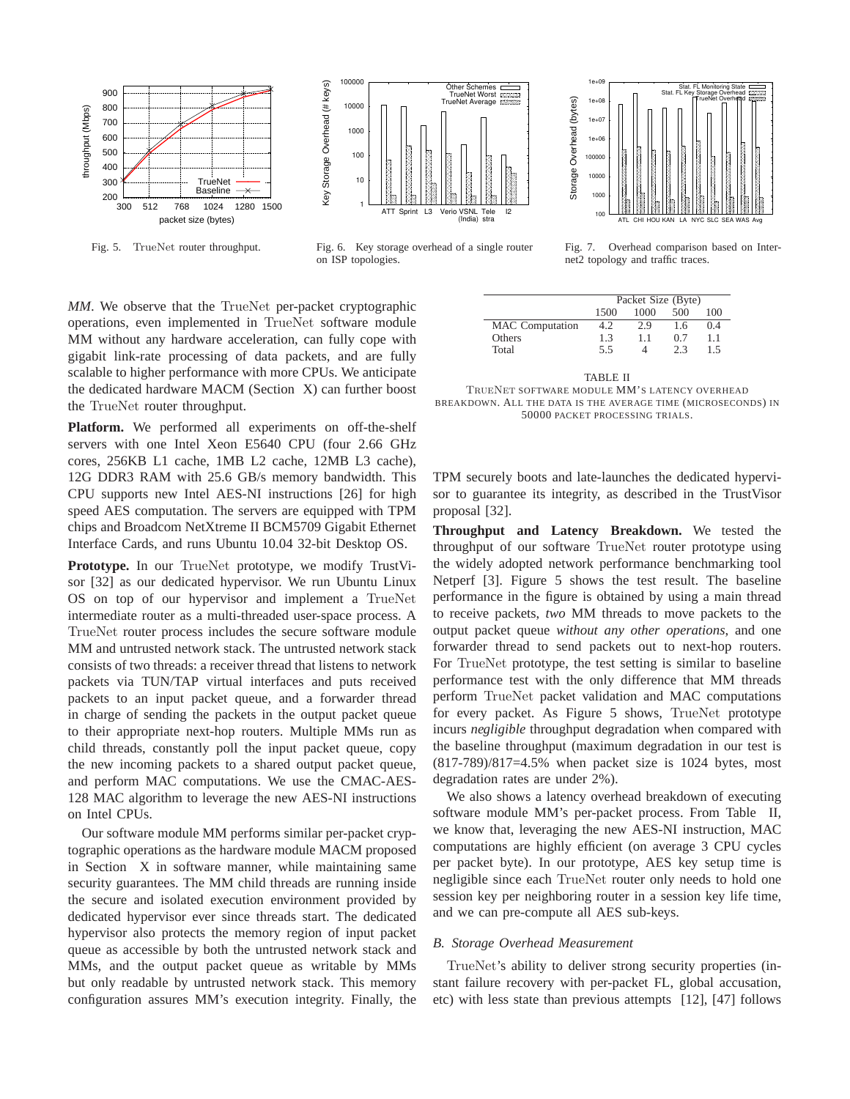

Fig. 5. TrueNet router throughput.



Fig. 6. Key storage overhead of a single router on ISP topologies.



Fig. 7. Overhead comparison based on Internet2 topology and traffic traces.

*MM*. We observe that the TrueNet per-packet cryptographic operations, even implemented in TrueNet software module MM without any hardware acceleration, can fully cope with gigabit link-rate processing of data packets, and are fully scalable to higher performance with more CPUs. We anticipate the dedicated hardware MACM (Section X) can further boost the TrueNet router throughput.

**Platform.** We performed all experiments on off-the-shelf servers with one Intel Xeon E5640 CPU (four 2.66 GHz cores, 256KB L1 cache, 1MB L2 cache, 12MB L3 cache), 12G DDR3 RAM with 25.6 GB/s memory bandwidth. This CPU supports new Intel AES-NI instructions [26] for high speed AES computation. The servers are equipped with TPM chips and Broadcom NetXtreme II BCM5709 Gigabit Ethernet Interface Cards, and runs Ubuntu 10.04 32-bit Desktop OS.

**Prototype.** In our TrueNet prototype, we modify TrustVisor [32] as our dedicated hypervisor. We run Ubuntu Linux OS on top of our hypervisor and implement a TrueNet intermediate router as a multi-threaded user-space process. A TrueNet router process includes the secure software module MM and untrusted network stack. The untrusted network stack consists of two threads: a receiver thread that listens to network packets via TUN/TAP virtual interfaces and puts received packets to an input packet queue, and a forwarder thread in charge of sending the packets in the output packet queue to their appropriate next-hop routers. Multiple MMs run as child threads, constantly poll the input packet queue, copy the new incoming packets to a shared output packet queue, and perform MAC computations. We use the CMAC-AES-128 MAC algorithm to leverage the new AES-NI instructions on Intel CPUs.

Our software module MM performs similar per-packet cryptographic operations as the hardware module MACM proposed in Section X in software manner, while maintaining same security guarantees. The MM child threads are running inside the secure and isolated execution environment provided by dedicated hypervisor ever since threads start. The dedicated hypervisor also protects the memory region of input packet queue as accessible by both the untrusted network stack and MMs, and the output packet queue as writable by MMs but only readable by untrusted network stack. This memory configuration assures MM's execution integrity. Finally, the

| Packet Size (Byte) |      |     |     |  |
|--------------------|------|-----|-----|--|
| 1500               | 1000 | 500 | 100 |  |
| 4.2                | 2.9  | 1.6 | 04  |  |
| 1.3                | 1.1  | 0.7 | 11  |  |
| 5.5                |      | 2.3 | 1.5 |  |
|                    |      |     |     |  |

TABLE II TrueNet SOFTWARE MODULE MM'S LATENCY OVERHEAD BREAKDOWN. ALL THE DATA IS THE AVERAGE TIME (MICROSECONDS) IN 50000 PACKET PROCESSING TRIALS.

TPM securely boots and late-launches the dedicated hypervisor to guarantee its integrity, as described in the TrustVisor proposal [32].

**Throughput and Latency Breakdown.** We tested the throughput of our software TrueNet router prototype using the widely adopted network performance benchmarking tool Netperf [3]. Figure 5 shows the test result. The baseline performance in the figure is obtained by using a main thread to receive packets, *two* MM threads to move packets to the output packet queue *without any other operations*, and one forwarder thread to send packets out to next-hop routers. For TrueNet prototype, the test setting is similar to baseline performance test with the only difference that MM threads perform TrueNet packet validation and MAC computations for every packet. As Figure 5 shows, TrueNet prototype incurs *negligible* throughput degradation when compared with the baseline throughput (maximum degradation in our test is (817-789)/817=4.5% when packet size is 1024 bytes, most degradation rates are under 2%).

We also shows a latency overhead breakdown of executing software module MM's per-packet process. From Table II, we know that, leveraging the new AES-NI instruction, MAC computations are highly efficient (on average 3 CPU cycles per packet byte). In our prototype, AES key setup time is negligible since each TrueNet router only needs to hold one session key per neighboring router in a session key life time, and we can pre-compute all AES sub-keys.

#### *B. Storage Overhead Measurement*

TrueNet's ability to deliver strong security properties (instant failure recovery with per-packet FL, global accusation, etc) with less state than previous attempts [12], [47] follows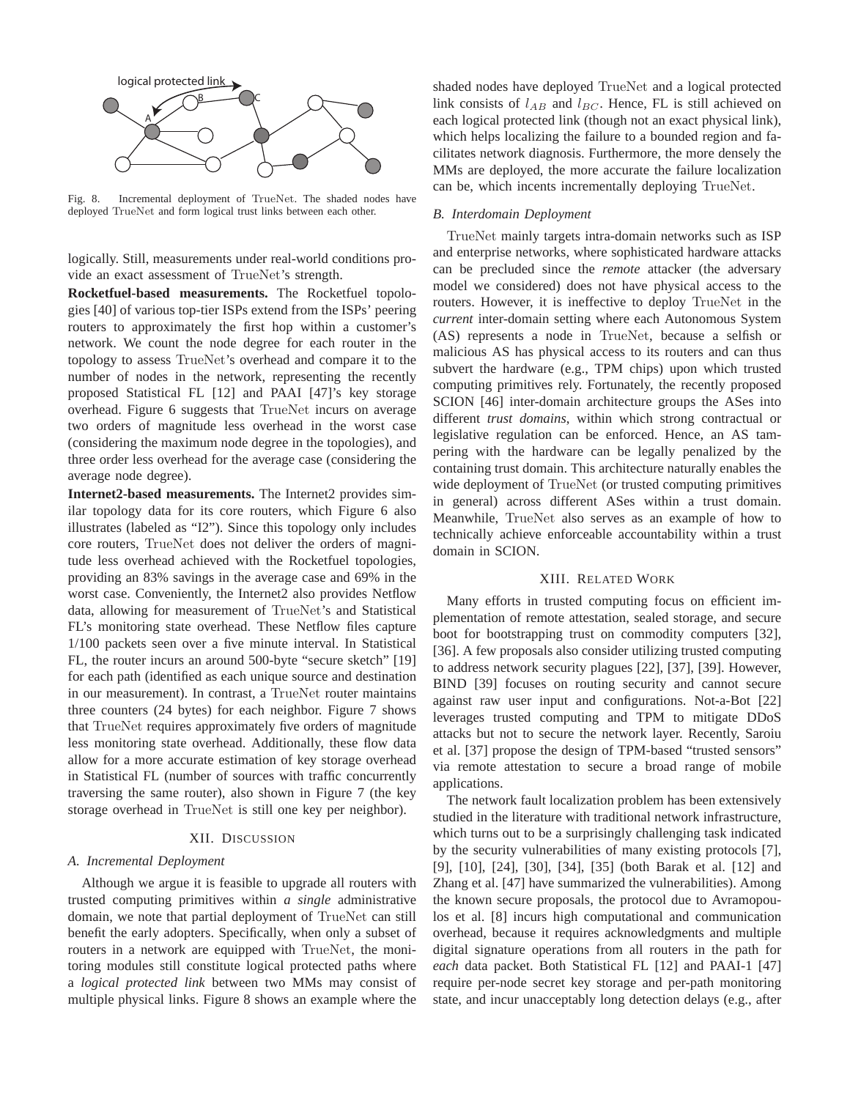

Fig. 8. Incremental deployment of TrueNet. The shaded nodes have deployed TrueNet and form logical trust links between each other.

logically. Still, measurements under real-world conditions provide an exact assessment of TrueNet's strength.

**Rocketfuel-based measurements.** The Rocketfuel topologies [40] of various top-tier ISPs extend from the ISPs' peering routers to approximately the first hop within a customer's network. We count the node degree for each router in the topology to assess TrueNet's overhead and compare it to the number of nodes in the network, representing the recently proposed Statistical FL [12] and PAAI [47]'s key storage overhead. Figure 6 suggests that TrueNet incurs on average two orders of magnitude less overhead in the worst case (considering the maximum node degree in the topologies), and three order less overhead for the average case (considering the average node degree).

**Internet2-based measurements.** The Internet2 provides similar topology data for its core routers, which Figure 6 also illustrates (labeled as "I2"). Since this topology only includes core routers, TrueNet does not deliver the orders of magnitude less overhead achieved with the Rocketfuel topologies, providing an 83% savings in the average case and 69% in the worst case. Conveniently, the Internet2 also provides Netflow data, allowing for measurement of TrueNet's and Statistical FL's monitoring state overhead. These Netflow files capture 1/100 packets seen over a five minute interval. In Statistical FL, the router incurs an around 500-byte "secure sketch" [19] for each path (identified as each unique source and destination in our measurement). In contrast, a TrueNet router maintains three counters (24 bytes) for each neighbor. Figure 7 shows that TrueNet requires approximately five orders of magnitude less monitoring state overhead. Additionally, these flow data allow for a more accurate estimation of key storage overhead in Statistical FL (number of sources with traffic concurrently traversing the same router), also shown in Figure 7 (the key storage overhead in TrueNet is still one key per neighbor).

#### XII. DISCUSSION

## *A. Incremental Deployment*

Although we argue it is feasible to upgrade all routers with trusted computing primitives within *a single* administrative domain, we note that partial deployment of TrueNet can still benefit the early adopters. Specifically, when only a subset of routers in a network are equipped with TrueNet, the monitoring modules still constitute logical protected paths where a *logical protected link* between two MMs may consist of multiple physical links. Figure 8 shows an example where the

shaded nodes have deployed TrueNet and a logical protected link consists of  $l_{AB}$  and  $l_{BC}$ . Hence, FL is still achieved on each logical protected link (though not an exact physical link), which helps localizing the failure to a bounded region and facilitates network diagnosis. Furthermore, the more densely the MMs are deployed, the more accurate the failure localization can be, which incents incrementally deploying TrueNet.

# *B. Interdomain Deployment*

TrueNet mainly targets intra-domain networks such as ISP and enterprise networks, where sophisticated hardware attacks can be precluded since the *remote* attacker (the adversary model we considered) does not have physical access to the routers. However, it is ineffective to deploy TrueNet in the *current* inter-domain setting where each Autonomous System (AS) represents a node in TrueNet, because a selfish or malicious AS has physical access to its routers and can thus subvert the hardware (e.g., TPM chips) upon which trusted computing primitives rely. Fortunately, the recently proposed SCION [46] inter-domain architecture groups the ASes into different *trust domains*, within which strong contractual or legislative regulation can be enforced. Hence, an AS tampering with the hardware can be legally penalized by the containing trust domain. This architecture naturally enables the wide deployment of TrueNet (or trusted computing primitives in general) across different ASes within a trust domain. Meanwhile, TrueNet also serves as an example of how to technically achieve enforceable accountability within a trust domain in SCION.

### XIII. RELATED WORK

Many efforts in trusted computing focus on efficient implementation of remote attestation, sealed storage, and secure boot for bootstrapping trust on commodity computers [32], [36]. A few proposals also consider utilizing trusted computing to address network security plagues [22], [37], [39]. However, BIND [39] focuses on routing security and cannot secure against raw user input and configurations. Not-a-Bot [22] leverages trusted computing and TPM to mitigate DDoS attacks but not to secure the network layer. Recently, Saroiu et al. [37] propose the design of TPM-based "trusted sensors" via remote attestation to secure a broad range of mobile applications.

The network fault localization problem has been extensively studied in the literature with traditional network infrastructure, which turns out to be a surprisingly challenging task indicated by the security vulnerabilities of many existing protocols [7], [9], [10], [24], [30], [34], [35] (both Barak et al. [12] and Zhang et al. [47] have summarized the vulnerabilities). Among the known secure proposals, the protocol due to Avramopoulos et al. [8] incurs high computational and communication overhead, because it requires acknowledgments and multiple digital signature operations from all routers in the path for *each* data packet. Both Statistical FL [12] and PAAI-1 [47] require per-node secret key storage and per-path monitoring state, and incur unacceptably long detection delays (e.g., after